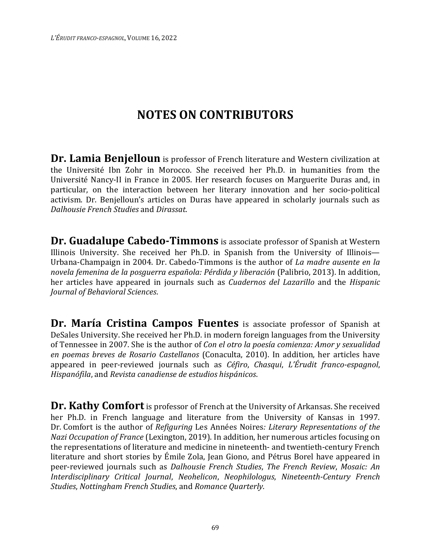## **NOTES ON CONTRIBUTORS**

**Dr. Lamia Benjelloun** is professor of French literature and Western civilization at the Université Ibn Zohr in Morocco. She received her Ph.D. in humanities from the Université Nancy-II in France in 2005. Her research focuses on Marguerite Duras and, in particular, on the interaction between her literary innovation and her socio-political activism. Dr. Benjelloun's articles on Duras have appeared in scholarly journals such as *Dalhousie French Studies* and *Dirassat*.

**Dr. Guadalupe Cabedo-Timmons** is associate professor of Spanish at Western Illinois University. She received her Ph.D. in Spanish from the University of Illinois— Urbana-Champaign in 2004. Dr. Cabedo-Timmons is the author of *La madre ausente en la novela femenina de la posguerra española: Pérdida y liberación* (Palibrio, 2013). In addition, her articles have appeared in journals such as *Cuadernos del Lazarillo* and the *Hispanic Journal of Behavioral Sciences*.

**Dr. María Cristina Campos Fuentes** is associate professor of Spanish at DeSales University. She received her Ph.D. in modern foreign languages from the University of Tennessee in 2007. She is the author of *Con el otro la poesía comienza: Amor y sexualidad en poemas breves de Rosario Castellanos* (Conaculta, 2010). In addition, her articles have appeared in peer-reviewed journals such as *Céfiro*, *Chasqui*, *L'Érudit franco-espagnol*, *Hispanófila*, and *Revista canadiense de estudios hispánicos*.

**Dr. Kathy Comfort** is professor of French at the University of Arkansas. She received her Ph.D. in French language and literature from the University of Kansas in 1997. Dr. Comfort is the author of *Refiguring* Les Années Noires*: Literary Representations of the Nazi Occupation of France* (Lexington, 2019). In addition, her numerous articles focusing on the representations of literature and medicine in nineteenth- and twentieth-century French literature and short stories by Émile Zola, Jean Giono, and Pétrus Borel have appeared in peer-reviewed journals such as *Dalhousie French Studies*, *The French Review*, *Mosaic: An Interdisciplinary Critical Journal*, *Neohelicon*, *Neophilologus*, *Nineteenth-Century French Studies*, *Nottingham French Studies*, and *Romance Quarterly*.